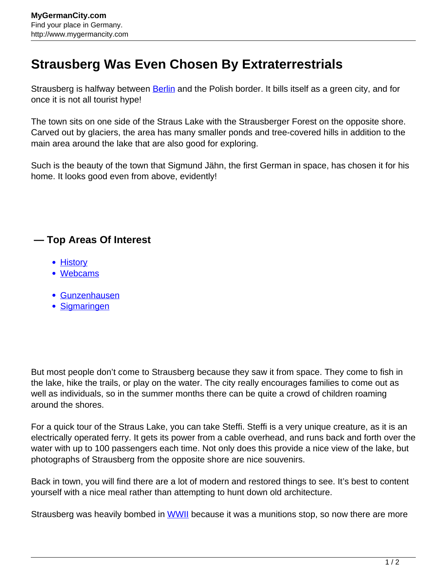## **Strausberg Was Even Chosen By Extraterrestrials**

Strausberg is halfway between **Berlin** and the Polish border. It bills itself as a green city, and for once it is not all tourist hype!

The town sits on one side of the Straus Lake with the Strausberger Forest on the opposite shore. Carved out by glaciers, the area has many smaller ponds and tree-covered hills in addition to the main area around the lake that are also good for exploring.

Such is the beauty of the town that Sigmund Jähn, the first German in space, has chosen it for his home. It looks good even from above, evidently!

## **— Top Areas Of Interest**

- [History](http://www.mygermancity.com/leipzig-history)
- [Webcams](http://www.mygermancity.com/neustadt-holstein-webcams)
- [Gunzenhausen](http://www.mygermancity.com/gunzenhausen)
- [Sigmaringen](http://www.mygermancity.com/sigmaringen)

But most people don't come to Strausberg because they saw it from space. They come to fish in the lake, hike the trails, or play on the water. The city really encourages families to come out as well as individuals, so in the summer months there can be quite a crowd of children roaming around the shores.

For a quick tour of the Straus Lake, you can take Steffi. Steffi is a very unique creature, as it is an electrically operated ferry. It gets its power from a cable overhead, and runs back and forth over the water with up to 100 passengers each time. Not only does this provide a nice view of the lake, but photographs of Strausberg from the opposite shore are nice souvenirs.

Back in town, you will find there are a lot of modern and restored things to see. It's best to content yourself with a nice meal rather than attempting to hunt down old architecture.

Strausberg was heavily bombed in [WWII](http://www.mygermancity.com/world-war-ii) because it was a munitions stop, so now there are more